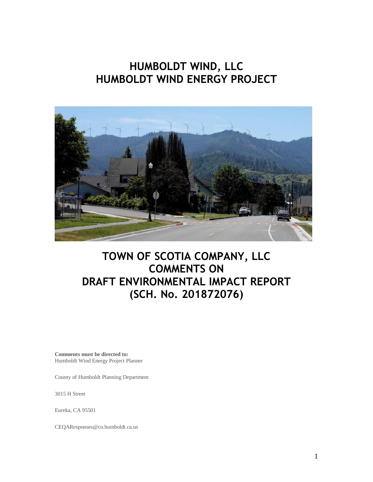# **HUMBOLDT WIND, LLC HUMBOLDT WIND ENERGY PROJECT**



# **TOWN OF SCOTIA COMPANY, LLC COMMENTS ON DRAFT ENVIRONMENTAL IMPACT REPORT (SCH. No. 201872076)**

**Comments must be directed to:** Humboldt Wind Energy Project Planner

County of Humboldt Planning Department

3015 H Street

Eureka, CA 95501

CEQAResponses@co.humboldt.ca.us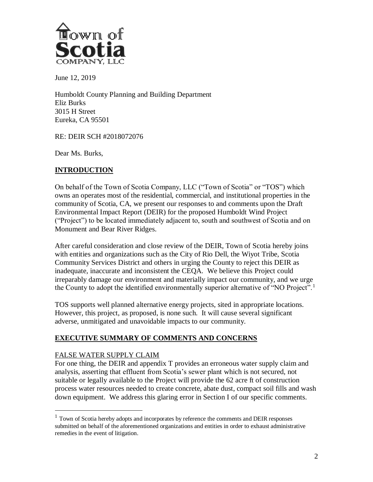

June 12, 2019

Humboldt County Planning and Building Department Eliz Burks 3015 H Street Eureka, CA 95501

RE: DEIR SCH #2018072076

Dear Ms. Burks,

### **INTRODUCTION**

On behalf of the Town of Scotia Company, LLC ("Town of Scotia" or "TOS") which owns an operates most of the residential, commercial, and institutional properties in the community of Scotia, CA, we present our responses to and comments upon the Draft Environmental Impact Report (DEIR) for the proposed Humboldt Wind Project ("Project") to be located immediately adjacent to, south and southwest of Scotia and on Monument and Bear River Ridges.

After careful consideration and close review of the DEIR, Town of Scotia hereby joins with entities and organizations such as the City of Rio Dell, the Wiyot Tribe, Scotia Community Services District and others in urging the County to reject this DEIR as inadequate, inaccurate and inconsistent the CEQA. We believe this Project could irreparably damage our environment and materially impact our community, and we urge the County to adopt the identified environmentally superior alternative of "NO Project".<sup>1</sup>

TOS supports well planned alternative energy projects, sited in appropriate locations. However, this project, as proposed, is none such. It will cause several significant adverse, unmitigated and unavoidable impacts to our community.

# **EXECUTIVE SUMMARY OF COMMENTS AND CONCERNS**

#### FALSE WATER SUPPLY CLAIM

 $\overline{a}$ 

For one thing, the DEIR and appendix T provides an erroneous water supply claim and analysis, asserting that effluent from Scotia's sewer plant which is not secured, not suitable or legally available to the Project will provide the 62 acre ft of construction process water resources needed to create concrete, abate dust, compact soil fills and wash down equipment. We address this glaring error in Section I of our specific comments.

<sup>&</sup>lt;sup>1</sup> Town of Scotia hereby adopts and incorporates by reference the comments and DEIR responses submitted on behalf of the aforementioned organizations and entities in order to exhaust administrative remedies in the event of litigation.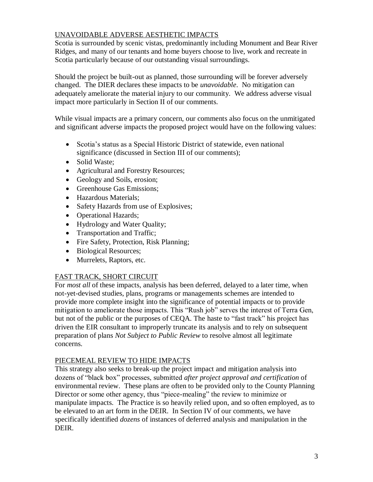### UNAVOIDABLE ADVERSE AESTHETIC IMPACTS

Scotia is surrounded by scenic vistas, predominantly including Monument and Bear River Ridges, and many of our tenants and home buyers choose to live, work and recreate in Scotia particularly because of our outstanding visual surroundings.

Should the project be built-out as planned, those surrounding will be forever adversely changed. The DIER declares these impacts to be *unavoidable*. No mitigation can adequately ameliorate the material injury to our community. We address adverse visual impact more particularly in Section II of our comments.

While visual impacts are a primary concern, our comments also focus on the unmitigated and significant adverse impacts the proposed project would have on the following values:

- Scotia's status as a Special Historic District of statewide, even national significance (discussed in Section III of our comments);
- Solid Waste:
- Agricultural and Forestry Resources;
- Geology and Soils, erosion;
- Greenhouse Gas Emissions:
- Hazardous Materials;
- Safety Hazards from use of Explosives;
- Operational Hazards;
- Hydrology and Water Quality;
- Transportation and Traffic;
- Fire Safety, Protection, Risk Planning;
- Biological Resources;
- Murrelets, Raptors, etc.

# FAST TRACK, SHORT CIRCUIT

For *most all* of these impacts, analysis has been deferred, delayed to a later time, when not-yet-devised studies, plans, programs or managements schemes are intended to provide more complete insight into the significance of potential impacts or to provide mitigation to ameliorate those impacts. This "Rush job" serves the interest of Terra Gen, but not of the public or the purposes of CEQA. The haste to "fast track" his project has driven the EIR consultant to improperly truncate its analysis and to rely on subsequent preparation of plans *Not Subject to Public Review* to resolve almost all legitimate concerns.

#### PIECEMEAL REVIEW TO HIDE IMPACTS

This strategy also seeks to break-up the project impact and mitigation analysis into dozens of "black box" processes, submitted *after project approval and certification* of environmental review. These plans are often to be provided only to the County Planning Director or some other agency, thus "piece-mealing" the review to minimize or manipulate impacts. The Practice is so heavily relied upon, and so often employed, as to be elevated to an art form in the DEIR. In Section IV of our comments, we have specifically identified *dozens* of instances of deferred analysis and manipulation in the DEIR.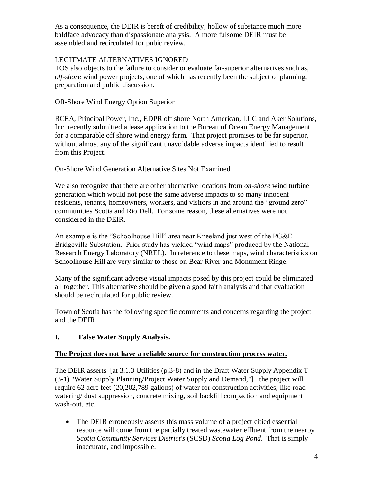As a consequence, the DEIR is bereft of credibility; hollow of substance much more baldface advocacy than dispassionate analysis. A more fulsome DEIR must be assembled and recirculated for pubic review.

#### LEGITMATE ALTERNATIVES IGNORED

TOS also objects to the failure to consider or evaluate far-superior alternatives such as, *off-shore* wind power projects, one of which has recently been the subject of planning, preparation and public discussion.

#### Off-Shore Wind Energy Option Superior

RCEA, Principal Power, Inc., EDPR off shore North American, LLC and Aker Solutions, Inc. recently submitted a lease application to the Bureau of Ocean Energy Management for a comparable off shore wind energy farm. That project promises to be far superior, without almost any of the significant unavoidable adverse impacts identified to result from this Project.

#### On-Shore Wind Generation Alternative Sites Not Examined

We also recognize that there are other alternative locations from *on-shore* wind turbine generation which would not pose the same adverse impacts to so many innocent residents, tenants, homeowners, workers, and visitors in and around the "ground zero" communities Scotia and Rio Dell. For some reason, these alternatives were not considered in the DEIR.

An example is the "Schoolhouse Hill" area near Kneeland just west of the PG&E Bridgeville Substation. Prior study has yielded "wind maps" produced by the National Research Energy Laboratory (NREL). In reference to these maps, wind characteristics on Schoolhouse Hill are very similar to those on Bear River and Monument Ridge.

Many of the significant adverse visual impacts posed by this project could be eliminated all together. This alternative should be given a good faith analysis and that evaluation should be recirculated for public review.

Town of Scotia has the following specific comments and concerns regarding the project and the DEIR.

# **I. False Water Supply Analysis.**

#### **The Project does not have a reliable source for construction process water.**

The DEIR asserts [at 3.1.3 Utilities (p.3-8) and in the Draft Water Supply Appendix T (3-1) "Water Supply Planning/Project Water Supply and Demand,"] the project will require 62 acre feet (20,202,789 gallons) of water for construction activities, like roadwatering/ dust suppression, concrete mixing, soil backfill compaction and equipment wash-out, etc.

• The DEIR erroneously asserts this mass volume of a project citied essential resource will come from the partially treated wastewater effluent from the nearby *Scotia Community Services District's* (SCSD) *Scotia Log Pond*. That is simply inaccurate, and impossible.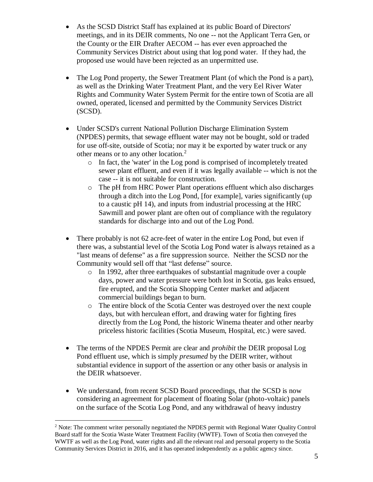- As the SCSD District Staff has explained at its public Board of Directors' meetings, and in its DEIR comments, No one -- not the Applicant Terra Gen, or the County or the EIR Drafter AECOM -- has ever even approached the Community Services District about using that log pond water. If they had, the proposed use would have been rejected as an unpermitted use.
- The Log Pond property, the Sewer Treatment Plant (of which the Pond is a part), as well as the Drinking Water Treatment Plant, and the very Eel River Water Rights and Community Water System Permit for the entire town of Scotia are all owned, operated, licensed and permitted by the Community Services District (SCSD).
- Under SCSD's current National Pollution Discharge Elimination System (NPDES) permits, that sewage effluent water may not be bought, sold or traded for use off-site, outside of Scotia; nor may it be exported by water truck or any other means or to any other location.<sup>2</sup>
	- o In fact, the 'water' in the Log pond is comprised of incompletely treated sewer plant effluent, and even if it was legally available -- which is not the case -- it is not suitable for construction.
	- o The pH from HRC Power Plant operations effluent which also discharges through a ditch into the Log Pond, [for example], varies significantly (up to a caustic pH 14), and inputs from industrial processing at the HRC Sawmill and power plant are often out of compliance with the regulatory standards for discharge into and out of the Log Pond.
- There probably is not 62 acre-feet of water in the entire Log Pond, but even if there was, a substantial level of the Scotia Log Pond water is always retained as a "last means of defense" as a fire suppression source. Neither the SCSD nor the Community would sell off that "last defense" source.
	- o In 1992, after three earthquakes of substantial magnitude over a couple days, power and water pressure were both lost in Scotia, gas leaks ensued, fire erupted, and the Scotia Shopping Center market and adjacent commercial buildings began to burn.
	- o The entire block of the Scotia Center was destroyed over the next couple days, but with herculean effort, and drawing water for fighting fires directly from the Log Pond, the historic Winema theater and other nearby priceless historic facilities (Scotia Museum, Hospital, etc.) were saved.
- The terms of the NPDES Permit are clear and *prohibit* the DEIR proposal Log Pond effluent use, which is simply *presumed* by the DEIR writer, without substantial evidence in support of the assertion or any other basis or analysis in the DEIR whatsoever.
- We understand, from recent SCSD Board proceedings, that the SCSD is now considering an agreement for placement of floating Solar (photo-voltaic) panels on the surface of the Scotia Log Pond, and any withdrawal of heavy industry

 $\overline{a}$ 

 $2$  Note: The comment writer personally negotiated the NPDES permit with Regional Water Quality Control Board staff for the Scotia Waste Water Treatment Facility (WWTF). Town of Scotia then conveyed the WWTF as well as the Log Pond, water rights and all the relevant real and personal property to the Scotia Community Services District in 2016, and it has operated independently as a public agency since.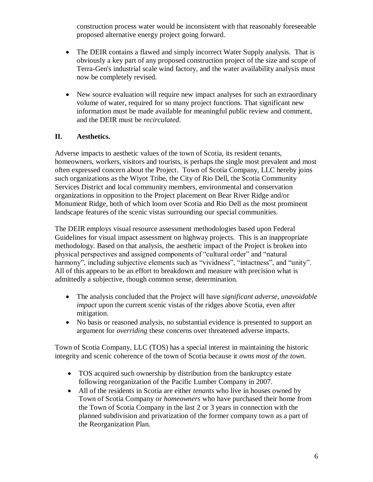construction process water would be inconsistent with that reasonably foreseeable proposed alternative energy project going forward.

- The DEIR contains a flawed and simply incorrect Water Supply analysis. That is obviously a key part of any proposed construction project of the size and scope of Terra-Gen's industrial scale wind factory, and the water availability analysis must now be completely revised.
- New source evaluation will require new impact analyses for such an extraordinary volume of water, required for so many project functions. That significant new information must be made available for meaningful public review and comment, and the DEIR must be *recirculated*.

### **II. Aesthetics.**

Adverse impacts to aesthetic values of the town of Scotia, its resident tenants, homeowners, workers, visitors and tourists, is perhaps the single most prevalent and most often expressed concern about the Project. Town of Scotia Company, LLC hereby joins such organizations as the Wiyot Tribe, the City of Rio Dell, the Scotia Community Services District and local community members, environmental and conservation organizations in opposition to the Project placement on Bear River Ridge and/or Monument Ridge, both of which loom over Scotia and Rio Dell as the most prominent landscape features of the scenic vistas surrounding our special communities.

The DEIR employs visual resource assessment methodologies based upon Federal Guidelines for visual impact assessment on highway projects. This is an inappropriate methodology. Based on that analysis, the aesthetic impact of the Project is broken into physical perspectives and assigned components of "cultural order" and "natural harmony", including subjective elements such as "vividness", "intactness", and "unity". All of this appears to be an effort to breakdown and measure with precision what is admittedly a subjective, though common sense, determination.

- The analysis concluded that the Project will have *significant adverse, unavoidable impact* upon the current scenic vistas of the ridges above Scotia, even after mitigation.
- No basis or reasoned analysis, no substantial evidence is presented to support an argument for *overriding* these concerns over threatened adverse impacts.

Town of Scotia Company, LLC (TOS) has a special interest in maintaining the historic integrity and scenic coherence of the town of Scotia because it *owns most of the town*.

- TOS acquired such ownership by distribution from the bankruptcy estate following reorganization of the Pacific Lumber Company in 2007.
- All of the residents in Scotia are either *tenants* who live in houses owned by Town of Scotia Company or *homeowners* who have purchased their home from the Town of Scotia Company in the last 2 or 3 years in connection with the planned subdivision and privatization of the former company town as a part of the Reorganization Plan.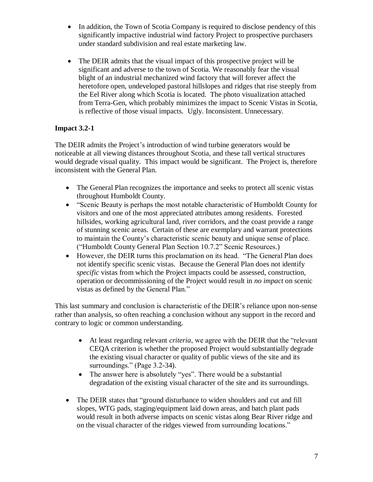- In addition, the Town of Scotia Company is required to disclose pendency of this significantly impactive industrial wind factory Project to prospective purchasers under standard subdivision and real estate marketing law.
- The DEIR admits that the visual impact of this prospective project will be significant and adverse to the town of Scotia. We reasonably fear the visual blight of an industrial mechanized wind factory that will forever affect the heretofore open, undeveloped pastoral hillslopes and ridges that rise steeply from the Eel River along which Scotia is located. The photo visualization attached from Terra-Gen, which probably minimizes the impact to Scenic Vistas in Scotia, is reflective of those visual impacts. Ugly. Inconsistent. Unnecessary.

# **Impact 3.2-1**

The DEIR admits the Project's introduction of wind turbine generators would be noticeable at all viewing distances throughout Scotia, and these tall vertical structures would degrade visual quality. This impact would be significant. The Project is, therefore inconsistent with the General Plan.

- The General Plan recognizes the importance and seeks to protect all scenic vistas throughout Humboldt County.
- "Scenic Beauty is perhaps the most notable characteristic of Humboldt County for visitors and one of the most appreciated attributes among residents. Forested hillsides, working agricultural land, river corridors, and the coast provide a range of stunning scenic areas. Certain of these are exemplary and warrant protections to maintain the County's characteristic scenic beauty and unique sense of place. ("Humboldt County General Plan Section 10.7.2" Scenic Resources.)
- However, the DEIR turns this proclamation on its head. "The General Plan does not identify specific scenic vistas. Because the General Plan does not identify *specific* vistas from which the Project impacts could be assessed, construction, operation or decommissioning of the Project would result in *no impact* on scenic vistas as defined by the General Plan."

This last summary and conclusion is characteristic of the DEIR's reliance upon non-sense rather than analysis, so often reaching a conclusion without any support in the record and contrary to logic or common understanding.

- At least regarding relevant *criteria*, we agree with the DEIR that the "relevant CEQA criterion is whether the proposed Project would substantially degrade the existing visual character or quality of public views of the site and its surroundings." (Page 3.2-34).
- The answer here is absolutely "yes". There would be a substantial degradation of the existing visual character of the site and its surroundings.
- The DEIR states that "ground disturbance to widen shoulders and cut and fill slopes, WTG pads, staging/equipment laid down areas, and batch plant pads would result in both adverse impacts on scenic vistas along Bear River ridge and on the visual character of the ridges viewed from surrounding locations."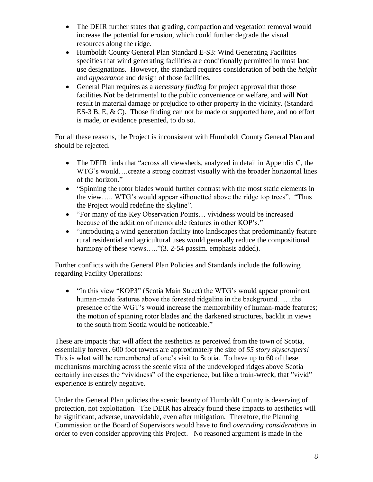- The DEIR further states that grading, compaction and vegetation removal would increase the potential for erosion, which could further degrade the visual resources along the ridge.
- Humboldt County General Plan Standard E-S3: Wind Generating Facilities specifies that wind generating facilities are conditionally permitted in most land use designations. However, the standard requires consideration of both the *height* and *appearance* and design of those facilities.
- General Plan requires as a *necessary finding* for project approval that those facilities **Not** be detrimental to the public convenience or welfare, and will **Not** result in material damage or prejudice to other property in the vicinity. (Standard ES-3 B, E,  $\&$  C). Those finding can not be made or supported here, and no effort is made, or evidence presented, to do so.

For all these reasons, the Project is inconsistent with Humboldt County General Plan and should be rejected.

- The DEIR finds that "across all viewsheds, analyzed in detail in Appendix C, the WTG's would....create a strong contrast visually with the broader horizontal lines of the horizon."
- "Spinning the rotor blades would further contrast with the most static elements in the view….. WTG's would appear silhouetted above the ridge top trees". "Thus the Project would redefine the skyline".
- "For many of the Key Observation Points... vividness would be increased because of the addition of memorable features in other KOP's."
- "Introducing a wind generation facility into landscapes that predominantly feature rural residential and agricultural uses would generally reduce the compositional harmony of these views....."(3. 2-54 passim. emphasis added).

Further conflicts with the General Plan Policies and Standards include the following regarding Facility Operations:

• "In this view "KOP3" (Scotia Main Street) the WTG's would appear prominent human-made features above the forested ridgeline in the background. ….the presence of the WGT's would increase the memorability of human-made features; the motion of spinning rotor blades and the darkened structures, backlit in views to the south from Scotia would be noticeable."

These are impacts that will affect the aesthetics as perceived from the town of Scotia, essentially forever. 600 foot towers are approximately the size of *55 story skyscrapers!*  This is what will be remembered of one's visit to Scotia. To have up to 60 of these mechanisms marching across the scenic vista of the undeveloped ridges above Scotia certainly increases the "vividness" of the experience, but like a train-wreck, that "vivid" experience is entirely negative.

Under the General Plan policies the scenic beauty of Humboldt County is deserving of protection, not exploitation. The DEIR has already found these impacts to aesthetics will be significant, adverse, unavoidable, even after mitigation. Therefore, the Planning Commission or the Board of Supervisors would have to find *overriding considerations* in order to even consider approving this Project. No reasoned argument is made in the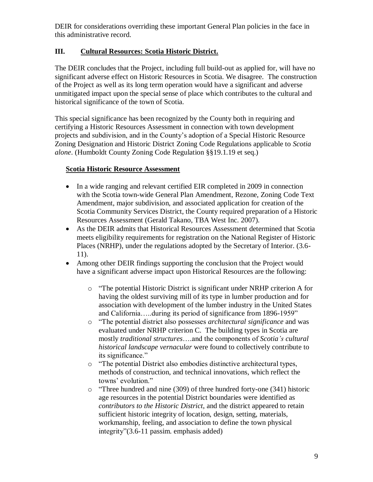DEIR for considerations overriding these important General Plan policies in the face in this administrative record.

# **III. Cultural Resources: Scotia Historic District.**

The DEIR concludes that the Project, including full build-out as applied for, will have no significant adverse effect on Historic Resources in Scotia. We disagree. The construction of the Project as well as its long term operation would have a significant and adverse unmitigated impact upon the special sense of place which contributes to the cultural and historical significance of the town of Scotia.

This special significance has been recognized by the County both in requiring and certifying a Historic Resources Assessment in connection with town development projects and subdivision, and in the County's adoption of a Special Historic Resource Zoning Designation and Historic District Zoning Code Regulations applicable to *Scotia alone*. (Humboldt County Zoning Code Regulation §§19.1.19 et seq.)

# **Scotia Historic Resource Assessment**

- In a wide ranging and relevant certified EIR completed in 2009 in connection with the Scotia town-wide General Plan Amendment, Rezone, Zoning Code Text Amendment, major subdivision, and associated application for creation of the Scotia Community Services District, the County required preparation of a Historic Resources Assessment (Gerald Takano, TBA West Inc. 2007).
- As the DEIR admits that Historical Resources Assessment determined that Scotia meets eligibility requirements for registration on the National Register of Historic Places (NRHP), under the regulations adopted by the Secretary of Interior. (3.6- 11).
- Among other DEIR findings supporting the conclusion that the Project would have a significant adverse impact upon Historical Resources are the following:
	- o "The potential Historic District is significant under NRHP criterion A for having the oldest surviving mill of its type in lumber production and for association with development of the lumber industry in the United States and California…..during its period of significance from 1896-1959"
	- o "The potential district also possesses *architectural significance* and was evaluated under NRHP criterion C. The building types in Scotia are mostly *traditional structures*….and the components of *Scotia's cultural historical landscape vernacular* were found to collectively contribute to its significance."
	- o "The potential District also embodies distinctive architectural types, methods of construction, and technical innovations, which reflect the towns' evolution."
	- o "Three hundred and nine (309) of three hundred forty-one (341) historic age resources in the potential District boundaries were identified as *contributors to the Historic District*, and the district appeared to retain sufficient historic integrity of location, design, setting, materials, workmanship, feeling, and association to define the town physical integrity"(3.6-11 passim. emphasis added)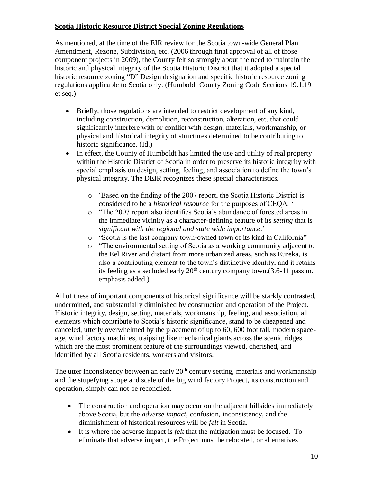## **Scotia Historic Resource District Special Zoning Regulations**

As mentioned, at the time of the EIR review for the Scotia town-wide General Plan Amendment, Rezone, Subdivision, etc. (2006 through final approval of all of those component projects in 2009), the County felt so strongly about the need to maintain the historic and physical integrity of the Scotia Historic District that it adopted a special historic resource zoning "D" Design designation and specific historic resource zoning regulations applicable to Scotia only. (Humboldt County Zoning Code Sections 19.1.19 et seq.)

- Briefly, those regulations are intended to restrict development of any kind, including construction, demolition, reconstruction, alteration, etc. that could significantly interfere with or conflict with design, materials, workmanship, or physical and historical integrity of structures determined to be contributing to historic significance. (Id.)
- In effect, the County of Humboldt has limited the use and utility of real property within the Historic District of Scotia in order to preserve its historic integrity with special emphasis on design, setting, feeling, and association to define the town's physical integrity. The DEIR recognizes these special characteristics.
	- o 'Based on the finding of the 2007 report, the Scotia Historic District is considered to be a *historical resource* for the purposes of CEQA. '
	- o "The 2007 report also identifies Scotia's abundance of forested areas in the immediate vicinity as a character-defining feature of its *setting* that is *significant with the regional and state wide importance*.'
	- o "Scotia is the last company town-owned town of its kind in California"
	- o "The environmental setting of Scotia as a working community adjacent to the Eel River and distant from more urbanized areas, such as Eureka, is also a contributing element to the town's distinctive identity, and it retains its feeling as a secluded early  $20<sup>th</sup>$  century company town.(3.6-11 passim. emphasis added )

All of these of important components of historical significance will be starkly contrasted, undermined, and substantially diminished by construction and operation of the Project. Historic integrity, design, setting, materials, workmanship, feeling, and association, all elements which contribute to Scotia's historic significance, stand to be cheapened and canceled, utterly overwhelmed by the placement of up to 60, 600 foot tall, modern spaceage, wind factory machines, traipsing like mechanical giants across the scenic ridges which are the most prominent feature of the surroundings viewed, cherished, and identified by all Scotia residents, workers and visitors.

The utter inconsistency between an early  $20<sup>th</sup>$  century setting, materials and workmanship and the stupefying scope and scale of the big wind factory Project, its construction and operation, simply can not be reconciled.

- The construction and operation may occur on the adjacent hillsides immediately above Scotia, but the *adverse impact*, confusion, inconsistency, and the diminishment of historical resources will be *felt* in Scotia.
- It is where the adverse impact is *felt* that the mitigation must be focused. To eliminate that adverse impact, the Project must be relocated, or alternatives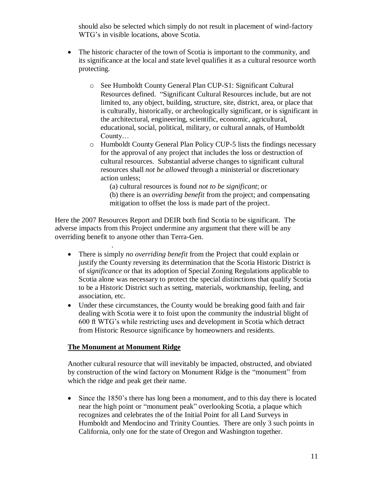should also be selected which simply do not result in placement of wind-factory WTG's in visible locations, above Scotia.

- The historic character of the town of Scotia is important to the community, and its significance at the local and state level qualifies it as a cultural resource worth protecting.
	- o See Humboldt County General Plan CUP-S1: Significant Cultural Resources defined. "Significant Cultural Resources include, but are not limited to, any object, building, structure, site, district, area, or place that is culturally, historically, or archeologically significant, or is significant in the architectural, engineering, scientific, economic, agricultural, educational, social, political, military, or cultural annals, of Humboldt County…
	- o Humboldt County General Plan Policy CUP-5 lists the findings necessary for the approval of any project that includes the loss or destruction of cultural resources. Substantial adverse changes to significant cultural resources shall *not be allowed* through a ministerial or discretionary action unless;

(a) cultural resources is found *not to be significant*; or (b) there is an *overriding benefit* from the project; and compensating mitigation to offset the loss is made part of the project.

Here the 2007 Resources Report and DEIR both find Scotia to be significant. The adverse impacts from this Project undermine any argument that there will be any overriding benefit to anyone other than Terra-Gen.

- There is simply *no overriding benefit* from the Project that could explain or justify the County reversing its determination that the Scotia Historic District is of *significance* or that its adoption of Special Zoning Regulations applicable to Scotia alone was necessary to protect the special distinctions that qualify Scotia to be a Historic District such as setting, materials, workmanship, feeling, and association, etc.
- Under these circumstances, the County would be breaking good faith and fair dealing with Scotia were it to foist upon the community the industrial blight of 600 ft WTG's while restricting uses and development in Scotia which detract from Historic Resource significance by homeowners and residents.

#### **The Monument at Monument Ridge**

.

Another cultural resource that will inevitably be impacted, obstructed, and obviated by construction of the wind factory on Monument Ridge is the "monument" from which the ridge and peak get their name.

• Since the 1850's there has long been a monument, and to this day there is located near the high point or "monument peak" overlooking Scotia, a plaque which recognizes and celebrates the of the Initial Point for all Land Surveys in Humboldt and Mendocino and Trinity Counties. There are only 3 such points in California, only one for the state of Oregon and Washington together.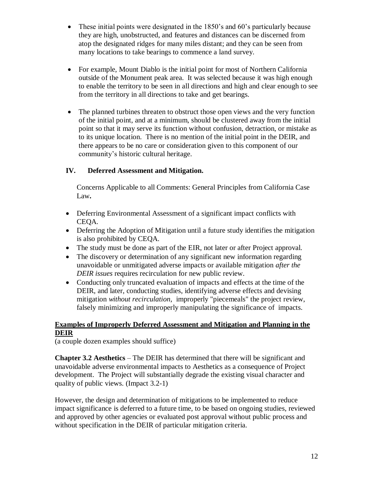- These initial points were designated in the 1850's and 60's particularly because they are high, unobstructed, and features and distances can be discerned from atop the designated ridges for many miles distant; and they can be seen from many locations to take bearings to commence a land survey.
- For example, Mount Diablo is the initial point for most of Northern California outside of the Monument peak area. It was selected because it was high enough to enable the territory to be seen in all directions and high and clear enough to see from the territory in all directions to take and get bearings.
- The planned turbines threaten to obstruct those open views and the very function of the initial point, and at a minimum, should be clustered away from the initial point so that it may serve its function without confusion, detraction, or mistake as to its unique location. There is no mention of the initial point in the DEIR, and there appears to be no care or consideration given to this component of our community's historic cultural heritage.

# **IV. Deferred Assessment and Mitigation.**

Concerns Applicable to all Comments: General Principles from California Case Law**.**

- Deferring Environmental Assessment of a significant impact conflicts with CEQA.
- Deferring the Adoption of Mitigation until a future study identifies the mitigation is also prohibited by CEQA.
- The study must be done as part of the EIR, not later or after Project approval.
- The discovery or determination of any significant new information regarding unavoidable or unmitigated adverse impacts or available mitigation *after the DEIR issues* requires recirculation for new public review.
- Conducting only truncated evaluation of impacts and effects at the time of the DEIR, and later, conducting studies, identifying adverse effects and devising mitigation *without recirculation*, improperly "piecemeals" the project review, falsely minimizing and improperly manipulating the significance of impacts.

# **Examples of Improperly Deferred Assessment and Mitigation and Planning in the DEIR**

(a couple dozen examples should suffice)

**Chapter 3.2 Aesthetics** – The DEIR has determined that there will be significant and unavoidable adverse environmental impacts to Aesthetics as a consequence of Project development. The Project will substantially degrade the existing visual character and quality of public views. (Impact 3.2-1)

However, the design and determination of mitigations to be implemented to reduce impact significance is deferred to a future time, to be based on ongoing studies, reviewed and approved by other agencies or evaluated post approval without public process and without specification in the DEIR of particular mitigation criteria.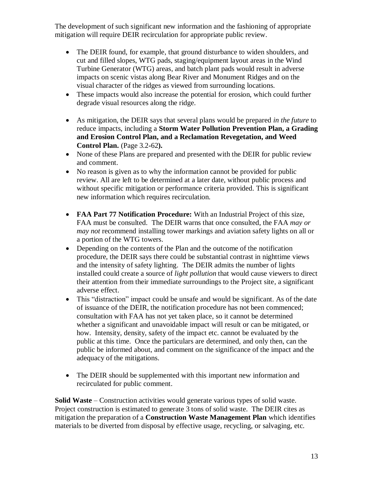The development of such significant new information and the fashioning of appropriate mitigation will require DEIR recirculation for appropriate public review.

- The DEIR found, for example, that ground disturbance to widen shoulders, and cut and filled slopes, WTG pads, staging/equipment layout areas in the Wind Turbine Generator (WTG) areas, and batch plant pads would result in adverse impacts on scenic vistas along Bear River and Monument Ridges and on the visual character of the ridges as viewed from surrounding locations.
- These impacts would also increase the potential for erosion, which could further degrade visual resources along the ridge.
- As mitigation, the DEIR says that several plans would be prepared *in the future* to reduce impacts, including a **Storm Water Pollution Prevention Plan, a Grading and Erosion Control Plan, and a Reclamation Revegetation, and Weed Control Plan.** (Page 3.2**-**62**).**
- None of these Plans are prepared and presented with the DEIR for public review and comment.
- No reason is given as to why the information cannot be provided for public review. All are left to be determined at a later date, without public process and without specific mitigation or performance criteria provided. This is significant new information which requires recirculation.
- **FAA Part 77 Notification Procedure:** With an Industrial Project of this size, FAA must be consulted. The DEIR warns that once consulted, the FAA *may or may not* recommend installing tower markings and aviation safety lights on all or a portion of the WTG towers.
- Depending on the contents of the Plan and the outcome of the notification procedure, the DEIR says there could be substantial contrast in nighttime views and the intensity of safety lighting. The DEIR admits the number of lights installed could create a source of *light pollution* that would cause viewers to direct their attention from their immediate surroundings to the Project site, a significant adverse effect.
- This "distraction" impact could be unsafe and would be significant. As of the date of issuance of the DEIR, the notification procedure has not been commenced; consultation with FAA has not yet taken place, so it cannot be determined whether a significant and unavoidable impact will result or can be mitigated, or how. Intensity, density, safety of the impact etc. cannot be evaluated by the public at this time. Once the particulars are determined, and only then, can the public be informed about, and comment on the significance of the impact and the adequacy of the mitigations.
- The DEIR should be supplemented with this important new information and recirculated for public comment.

**Solid Waste** – Construction activities would generate various types of solid waste. Project construction is estimated to generate 3 tons of solid waste. The DEIR cites as mitigation the preparation of a **Construction Waste Management Plan** which identifies materials to be diverted from disposal by effective usage, recycling, or salvaging, etc.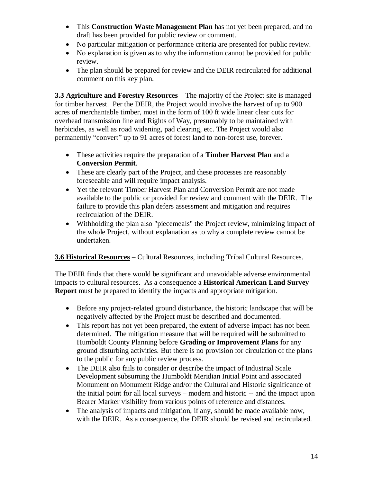- This **Construction Waste Management Plan** has not yet been prepared, and no draft has been provided for public review or comment.
- No particular mitigation or performance criteria are presented for public review.
- No explanation is given as to why the information cannot be provided for public review.
- The plan should be prepared for review and the DEIR recirculated for additional comment on this key plan.

**3.3 Agriculture and Forestry Resources** – The majority of the Project site is managed for timber harvest. Per the DEIR, the Project would involve the harvest of up to 900 acres of merchantable timber, most in the form of 100 ft wide linear clear cuts for overhead transmission line and Rights of Way, presumably to be maintained with herbicides, as well as road widening, pad clearing, etc. The Project would also permanently "convert" up to 91 acres of forest land to non-forest use, forever.

- These activities require the preparation of a **Timber Harvest Plan** and a **Conversion Permit**.
- These are clearly part of the Project, and these processes are reasonably foreseeable and will require impact analysis.
- Yet the relevant Timber Harvest Plan and Conversion Permit are not made available to the public or provided for review and comment with the DEIR. The failure to provide this plan defers assessment and mitigation and requires recirculation of the DEIR.
- Withholding the plan also "piecemeals" the Project review, minimizing impact of the whole Project, without explanation as to why a complete review cannot be undertaken.

**3.6 Historical Resources** – Cultural Resources, including Tribal Cultural Resources.

The DEIR finds that there would be significant and unavoidable adverse environmental impacts to cultural resources. As a consequence a **Historical American Land Survey Report** must be prepared to identify the impacts and appropriate mitigation.

- Before any project-related ground disturbance, the historic landscape that will be negatively affected by the Project must be described and documented.
- This report has not yet been prepared, the extent of adverse impact has not been determined. The mitigation measure that will be required will be submitted to Humboldt County Planning before **Grading or Improvement Plans** for any ground disturbing activities. But there is no provision for circulation of the plans to the public for any public review process.
- The DEIR also fails to consider or describe the impact of Industrial Scale Development subsuming the Humboldt Meridian Initial Point and associated Monument on Monument Ridge and/or the Cultural and Historic significance of the initial point for all local surveys – modern and historic -- and the impact upon Bearer Marker visibility from various points of reference and distances.
- The analysis of impacts and mitigation, if any, should be made available now, with the DEIR. As a consequence, the DEIR should be revised and recirculated.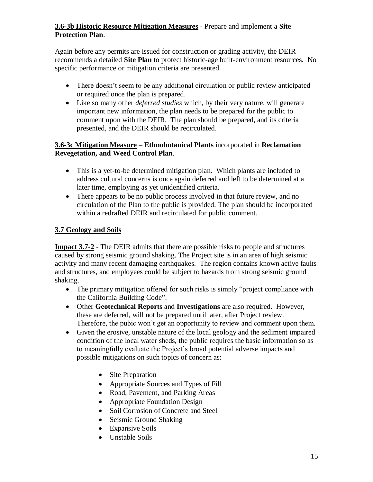### **3.6-3b Historic Resource Mitigation Measures** - Prepare and implement a **Site Protection Plan**.

Again before any permits are issued for construction or grading activity, the DEIR recommends a detailed **Site Plan** to protect historic-age built-environment resources. No specific performance or mitigation criteria are presented.

- There doesn't seem to be any additional circulation or public review anticipated or required once the plan is prepared.
- Like so many other *deferred studies* which, by their very nature, will generate important new information, the plan needs to be prepared for the public to comment upon with the DEIR. The plan should be prepared, and its criteria presented, and the DEIR should be recirculated.

#### **3.6-3c Mitigation Measure** – **Ethnobotanical Plants** incorporated in **Reclamation Revegetation, and Weed Control Plan**.

- This is a yet-to-be determined mitigation plan. Which plants are included to address cultural concerns is once again deferred and left to be determined at a later time, employing as yet unidentified criteria.
- There appears to be no public process involved in that future review, and no circulation of the Plan to the public is provided. The plan should be incorporated within a redrafted DEIR and recirculated for public comment.

### **3.7 Geology and Soils**

**Impact 3.7-2** - The DEIR admits that there are possible risks to people and structures caused by strong seismic ground shaking. The Project site is in an area of high seismic activity and many recent damaging earthquakes. The region contains known active faults and structures, and employees could be subject to hazards from strong seismic ground shaking.

- The primary mitigation offered for such risks is simply "project compliance with the California Building Code".
- Other **Geotechnical Reports** and **Investigations** are also required. However, these are deferred, will not be prepared until later, after Project review. Therefore, the pubic won't get an opportunity to review and comment upon them.
- Given the erosive, unstable nature of the local geology and the sediment impaired condition of the local water sheds, the public requires the basic information so as to meaningfully evaluate the Project's broad potential adverse impacts and possible mitigations on such topics of concern as:
	- Site Preparation
	- Appropriate Sources and Types of Fill
	- Road, Pavement, and Parking Areas
	- Appropriate Foundation Design
	- Soil Corrosion of Concrete and Steel
	- Seismic Ground Shaking
	- Expansive Soils
	- Unstable Soils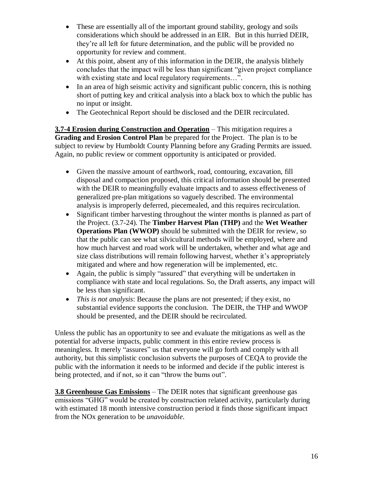- These are essentially all of the important ground stability, geology and soils considerations which should be addressed in an EIR. But in this hurried DEIR, they're all left for future determination, and the public will be provided no opportunity for review and comment.
- At this point, absent any of this information in the DEIR, the analysis blithely concludes that the impact will be less than significant "given project compliance with existing state and local regulatory requirements...".
- In an area of high seismic activity and significant public concern, this is nothing short of putting key and critical analysis into a black box to which the public has no input or insight.
- The Geotechnical Report should be disclosed and the DEIR recirculated.

**3.7-4 Erosion during Construction and Operation** – This mitigation requires a **Grading and Erosion Control Plan** be prepared for the Project. The plan is to be subject to review by Humboldt County Planning before any Grading Permits are issued. Again, no public review or comment opportunity is anticipated or provided.

- Given the massive amount of earthwork, road, contouring, excavation, fill disposal and compaction proposed, this critical information should be presented with the DEIR to meaningfully evaluate impacts and to assess effectiveness of generalized pre-plan mitigations so vaguely described. The environmental analysis is improperly deferred, piecemealed, and this requires recirculation.
- Significant timber harvesting throughout the winter months is planned as part of the Project. (3.7-24). The **Timber Harvest Plan (THP)** and the **Wet Weather Operations Plan (WWOP)** should be submitted with the DEIR for review, so that the public can see what silvicultural methods will be employed, where and how much harvest and road work will be undertaken, whether and what age and size class distributions will remain following harvest, whether it's appropriately mitigated and where and how regeneration will be implemented, etc.
- Again, the public is simply "assured" that everything will be undertaken in compliance with state and local regulations. So, the Draft asserts, any impact will be less than significant.
- *This is not analysis*: Because the plans are not presented; if they exist, no substantial evidence supports the conclusion. The DEIR, the THP and WWOP should be presented, and the DEIR should be recirculated.

Unless the public has an opportunity to see and evaluate the mitigations as well as the potential for adverse impacts, public comment in this entire review process is meaningless. It merely "assures" us that everyone will go forth and comply with all authority, but this simplistic conclusion subverts the purposes of CEQA to provide the public with the information it needs to be informed and decide if the public interest is being protected, and if not, so it can "throw the bums out".

**3.8 Greenhouse Gas Emissions** – The DEIR notes that significant greenhouse gas emissions "GHG" would be created by construction related activity, particularly during with estimated 18 month intensive construction period it finds those significant impact from the NOx generation to be *unavoidable*.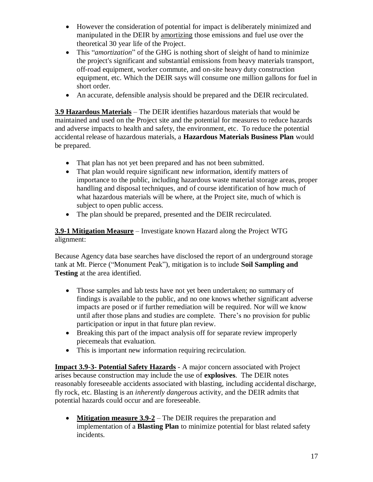- However the consideration of potential for impact is deliberately minimized and manipulated in the DEIR by amortizing those emissions and fuel use over the theoretical 30 year life of the Project.
- This "*amortization*" of the GHG is nothing short of sleight of hand to minimize the project's significant and substantial emissions from heavy materials transport, off-road equipment, worker commute, and on-site heavy duty construction equipment, etc. Which the DEIR says will consume one million gallons for fuel in short order.
- An accurate, defensible analysis should be prepared and the DEIR recirculated.

**3.9 Hazardous Materials** – The DEIR identifies hazardous materials that would be maintained and used on the Project site and the potential for measures to reduce hazards and adverse impacts to health and safety, the environment, etc. To reduce the potential accidental release of hazardous materials, a **Hazardous Materials Business Plan** would be prepared.

- That plan has not yet been prepared and has not been submitted.
- That plan would require significant new information, identify matters of importance to the public, including hazardous waste material storage areas, proper handling and disposal techniques, and of course identification of how much of what hazardous materials will be where, at the Project site, much of which is subject to open public access.
- The plan should be prepared, presented and the DEIR recirculated.

**3.9-1 Mitigation Measure** – Investigate known Hazard along the Project WTG alignment:

Because Agency data base searches have disclosed the report of an underground storage tank at Mt. Pierce ("Monument Peak"), mitigation is to include **Soil Sampling and Testing** at the area identified.

- Those samples and lab tests have not yet been undertaken; no summary of findings is available to the public, and no one knows whether significant adverse impacts are posed or if further remediation will be required. Nor will we know until after those plans and studies are complete. There's no provision for public participation or input in that future plan review.
- Breaking this part of the impact analysis off for separate review improperly piecemeals that evaluation.
- This is important new information requiring recirculation.

**Impact 3.9-3- Potential Safety Hazards** - A major concern associated with Project arises because construction may include the use of **explosives**. The DEIR notes reasonably foreseeable accidents associated with blasting, including accidental discharge, fly rock, etc. Blasting is an *inherently dangerous* activity, and the DEIR admits that potential hazards could occur and are foreseeable.

• **Mitigation measure 3.9-2** – The DEIR requires the preparation and implementation of a **Blasting Plan** to minimize potential for blast related safety incidents.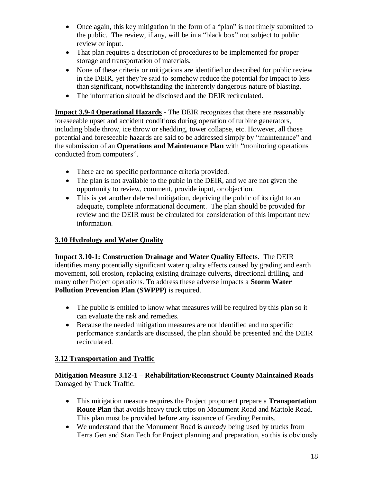- Once again, this key mitigation in the form of a "plan" is not timely submitted to the public. The review, if any, will be in a "black box" not subject to public review or input.
- That plan requires a description of procedures to be implemented for proper storage and transportation of materials.
- None of these criteria or mitigations are identified or described for public review in the DEIR, yet they're said to somehow reduce the potential for impact to less than significant, notwithstanding the inherently dangerous nature of blasting.
- The information should be disclosed and the DEIR recirculated.

**Impact 3.9-4 Operational Hazards** - The DEIR recognizes that there are reasonably foreseeable upset and accident conditions during operation of turbine generators, including blade throw, ice throw or shedding, tower collapse, etc. However, all those potential and foreseeable hazards are said to be addressed simply by "maintenance" and the submission of an **Operations and Maintenance Plan** with "monitoring operations conducted from computers".

- There are no specific performance criteria provided.
- The plan is not available to the pubic in the DEIR, and we are not given the opportunity to review, comment, provide input, or objection.
- This is yet another deferred mitigation, depriving the public of its right to an adequate, complete informational document. The plan should be provided for review and the DEIR must be circulated for consideration of this important new information.

# **3.10 Hydrology and Water Quality**

**Impact 3.10-1: Construction Drainage and Water Quality Effects**. The DEIR identifies many potentially significant water quality effects caused by grading and earth movement, soil erosion, replacing existing drainage culverts, directional drilling, and many other Project operations. To address these adverse impacts a **Storm Water Pollution Prevention Plan (SWPPP)** is required.

- The public is entitled to know what measures will be required by this plan so it can evaluate the risk and remedies.
- Because the needed mitigation measures are not identified and no specific performance standards are discussed, the plan should be presented and the DEIR recirculated.

# **3.12 Transportation and Traffic**

**Mitigation Measure 3.12-1** – **Rehabilitation/Reconstruct County Maintained Roads** Damaged by Truck Traffic.

- This mitigation measure requires the Project proponent prepare a **Transportation Route Plan** that avoids heavy truck trips on Monument Road and Mattole Road. This plan must be provided before any issuance of Grading Permits.
- We understand that the Monument Road is *already* being used by trucks from Terra Gen and Stan Tech for Project planning and preparation, so this is obviously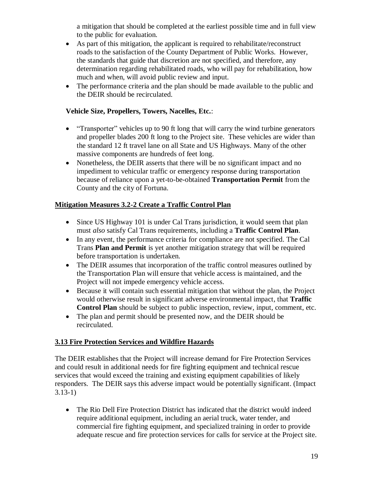a mitigation that should be completed at the earliest possible time and in full view to the public for evaluation.

- As part of this mitigation, the applicant is required to rehabilitate/reconstruct roads to the satisfaction of the County Department of Public Works. However, the standards that guide that discretion are not specified, and therefore, any determination regarding rehabilitated roads, who will pay for rehabilitation, how much and when, will avoid public review and input.
- The performance criteria and the plan should be made available to the public and the DEIR should be recirculated.

#### **Vehicle Size, Propellers, Towers, Nacelles, Etc.**:

- "Transporter" vehicles up to 90 ft long that will carry the wind turbine generators and propeller blades 200 ft long to the Project site. These vehicles are wider than the standard 12 ft travel lane on all State and US Highways. Many of the other massive components are hundreds of feet long.
- Nonetheless, the DEIR asserts that there will be no significant impact and no impediment to vehicular traffic or emergency response during transportation because of reliance upon a yet-to-be-obtained **Transportation Permit** from the County and the city of Fortuna.

### **Mitigation Measures 3.2-2 Create a Traffic Control Plan**

- Since US Highway 101 is under Cal Trans jurisdiction, it would seem that plan must *also* satisfy Cal Trans requirements, including a **Traffic Control Plan**.
- In any event, the performance criteria for compliance are not specified. The Cal Trans **Plan and Permit** is yet another mitigation strategy that will be required before transportation is undertaken.
- The DEIR assumes that incorporation of the traffic control measures outlined by the Transportation Plan will ensure that vehicle access is maintained, and the Project will not impede emergency vehicle access.
- Because it will contain such essential mitigation that without the plan, the Project would otherwise result in significant adverse environmental impact, that **Traffic Control Plan** should be subject to public inspection, review, input, comment, etc.
- The plan and permit should be presented now, and the DEIR should be recirculated.

#### **3.13 Fire Protection Services and Wildfire Hazards**

The DEIR establishes that the Project will increase demand for Fire Protection Services and could result in additional needs for fire fighting equipment and technical rescue services that would exceed the training and existing equipment capabilities of likely responders. The DEIR says this adverse impact would be potentially significant. (Impact 3.13-1)

• The Rio Dell Fire Protection District has indicated that the district would indeed require additional equipment, including an aerial truck, water tender, and commercial fire fighting equipment, and specialized training in order to provide adequate rescue and fire protection services for calls for service at the Project site.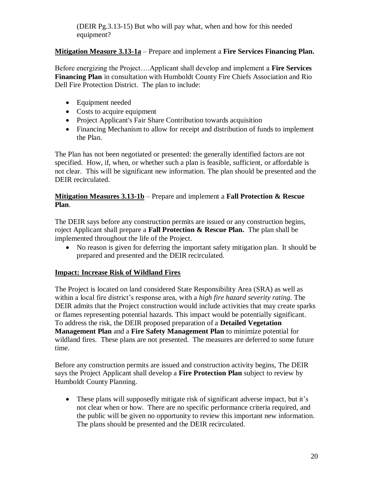(DEIR Pg.3.13-15) But who will pay what, when and how for this needed equipment?

# **Mitigation Measure 3.13-1a** – Prepare and implement a **Fire Services Financing Plan.**

Before energizing the Project….Applicant shall develop and implement a **Fire Services Financing Plan** in consultation with Humboldt County Fire Chiefs Association and Rio Dell Fire Protection District. The plan to include:

- Equipment needed
- Costs to acquire equipment
- Project Applicant's Fair Share Contribution towards acquisition
- Financing Mechanism to allow for receipt and distribution of funds to implement the Plan.

The Plan has not been negotiated or presented: the generally identified factors are not specified. How, if, when, or whether such a plan is feasible, sufficient, or affordable is not clear. This will be significant new information. The plan should be presented and the DEIR recirculated.

## **Mitigation Measures 3.13-1b** – Prepare and implement a **Fall Protection & Rescue Plan**.

The DEIR says before any construction permits are issued or any construction begins, roject Applicant shall prepare a **Fall Protection & Rescue Plan.** The plan shall be implemented throughout the life of the Project.

• No reason is given for deferring the important safety mitigation plan. It should be prepared and presented and the DEIR recirculated.

# **Impact: Increase Risk of Wildland Fires**

The Project is located on land considered State Responsibility Area (SRA) as well as within a local fire district's response area, with a *high fire hazard severity rating*. The DEIR admits that the Project construction would include activities that may create sparks or flames representing potential hazards. This impact would be potentially significant. To address the risk, the DEIR proposed preparation of a **Detailed Vegetation Management Plan** and a **Fire Safety Management Plan** to minimize potential for wildland fires. These plans are not presented. The measures are deferred to some future time.

Before any construction permits are issued and construction activity begins, The DEIR says the Project Applicant shall develop a **Fire Protection Plan** subject to review by Humboldt County Planning.

• These plans will supposedly mitigate risk of significant adverse impact, but it's not clear when or how. There are no specific performance criteria required, and the public will be given no opportunity to review this important new information. The plans should be presented and the DEIR recirculated.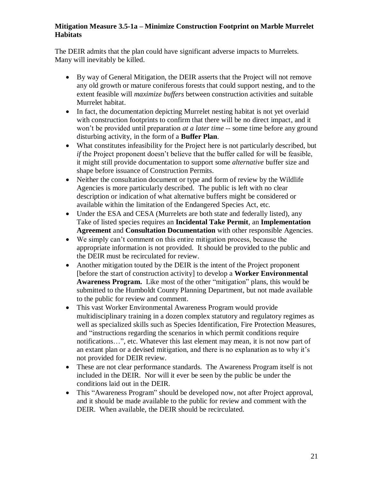#### **Mitigation Measure 3.5-1a – Minimize Construction Footprint on Marble Murrelet Habitats**

The DEIR admits that the plan could have significant adverse impacts to Murrelets. Many will inevitably be killed.

- By way of General Mitigation, the DEIR asserts that the Project will not remove any old growth or mature coniferous forests that could support nesting, and to the extent feasible will *maximize buffers* between construction activities and suitable Murrelet habitat.
- In fact, the documentation depicting Murrelet nesting habitat is not yet overlaid with construction footprints to confirm that there will be no direct impact, and it won't be provided until preparation *at a later time* -- some time before any ground disturbing activity, in the form of a **Buffer Plan**.
- What constitutes infeasibility for the Project here is not particularly described, but *if* the Project proponent doesn't believe that the buffer called for will be feasible, it might still provide documentation to support some *alternative* buffer size and shape before issuance of Construction Permits.
- Neither the consultation document or type and form of review by the Wildlife Agencies is more particularly described. The public is left with no clear description or indication of what alternative buffers might be considered or available within the limitation of the Endangered Species Act, etc.
- Under the ESA and CESA (Murrelets are both state and federally listed), any Take of listed species requires an **Incidental Take Permit**, an **Implementation Agreement** and **Consultation Documentation** with other responsible Agencies.
- We simply can't comment on this entire mitigation process, because the appropriate information is not provided. It should be provided to the public and the DEIR must be recirculated for review.
- Another mitigation touted by the DEIR is the intent of the Project proponent [before the start of construction activity] to develop a **Worker Environmental Awareness Program.** Like most of the other "mitigation" plans, this would be submitted to the Humboldt County Planning Department, but not made available to the public for review and comment.
- This vast Worker Environmental Awareness Program would provide multidisciplinary training in a dozen complex statutory and regulatory regimes as well as specialized skills such as Species Identification, Fire Protection Measures, and "instructions regarding the scenarios in which permit conditions require notifications…", etc. Whatever this last element may mean, it is not now part of an extant plan or a devised mitigation, and there is no explanation as to why it's not provided for DEIR review.
- These are not clear performance standards. The Awareness Program itself is not included in the DEIR. Nor will it ever be seen by the public be under the conditions laid out in the DEIR.
- This "Awareness Program" should be developed now, not after Project approval, and it should be made available to the public for review and comment with the DEIR. When available, the DEIR should be recirculated.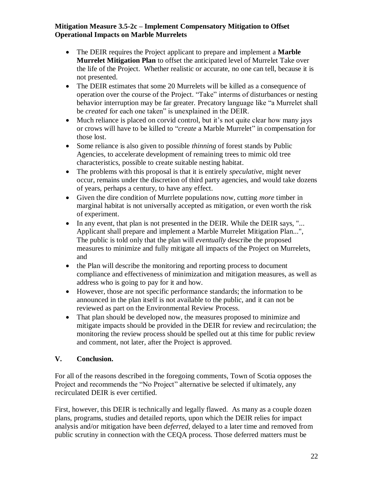#### **Mitigation Measure 3.5-2c – Implement Compensatory Mitigation to Offset Operational Impacts on Marble Murrelets**

- The DEIR requires the Project applicant to prepare and implement a **Marble Murrelet Mitigation Plan** to offset the anticipated level of Murrelet Take over the life of the Project. Whether realistic or accurate, no one can tell, because it is not presented.
- The DEIR estimates that some 20 Murrelets will be killed as a consequence of operation over the course of the Project. "Take" interms of disturbances or nesting behavior interruption may be far greater. Precatory language like "a Murrelet shall be *created* for each one taken" is unexplained in the DEIR.
- Much reliance is placed on corvid control, but it's not quite clear how many jays or crows will have to be killed to "*create* a Marble Murrelet" in compensation for those lost.
- Some reliance is also given to possible *thinning* of forest stands by Public Agencies, to accelerate development of remaining trees to mimic old tree characteristics, possible to create suitable nesting habitat.
- The problems with this proposal is that it is entirely *speculative,* might never occur, remains under the discretion of third party agencies, and would take dozens of years, perhaps a century, to have any effect.
- Given the dire condition of Murrlete populations now, cutting *more* timber in marginal habitat is not universally accepted as mitigation, or even worth the risk of experiment.
- In any event, that plan is not presented in the DEIR. While the DEIR says, "... Applicant shall prepare and implement a Marble Murrelet Mitigation Plan...", The public is told only that the plan will *eventually* describe the proposed measures to minimize and fully mitigate all impacts of the Project on Murrelets, and
- the Plan will describe the monitoring and reporting process to document compliance and effectiveness of minimization and mitigation measures, as well as address who is going to pay for it and how.
- However, those are not specific performance standards; the information to be announced in the plan itself is not available to the public, and it can not be reviewed as part on the Environmental Review Process.
- That plan should be developed now, the measures proposed to minimize and mitigate impacts should be provided in the DEIR for review and recirculation; the monitoring the review process should be spelled out at this time for public review and comment, not later, after the Project is approved.

### **V. Conclusion.**

For all of the reasons described in the foregoing comments, Town of Scotia opposes the Project and recommends the "No Project" alternative be selected if ultimately, any recirculated DEIR is ever certified.

First, however, this DEIR is technically and legally flawed. As many as a couple dozen plans, programs, studies and detailed reports, upon which the DEIR relies for impact analysis and/or mitigation have been *deferred,* delayed to a later time and removed from public scrutiny in connection with the CEQA process. Those deferred matters must be